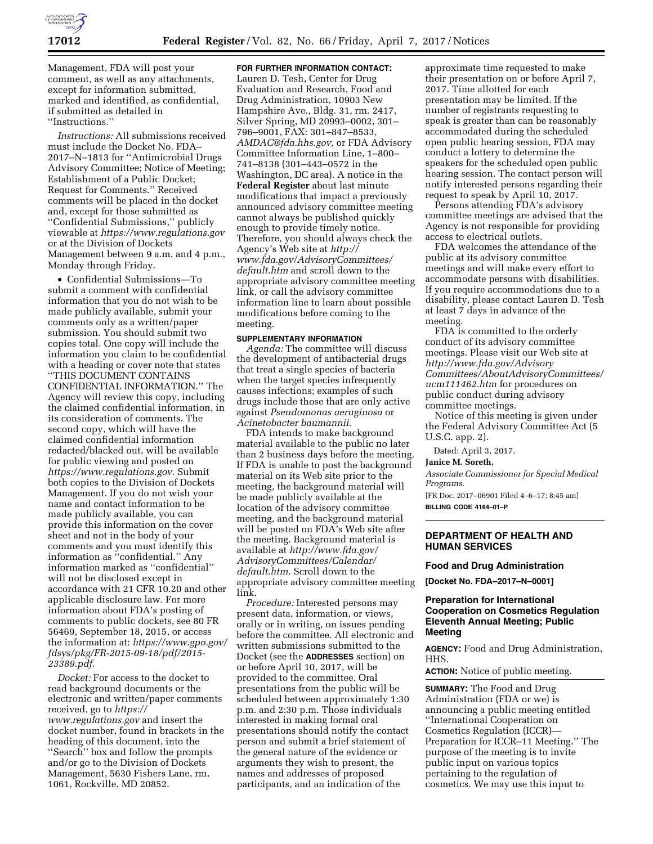

Management, FDA will post your comment, as well as any attachments, except for information submitted, marked and identified, as confidential, if submitted as detailed in ''Instructions.''

*Instructions:* All submissions received must include the Docket No. FDA– 2017–N–1813 for ''Antimicrobial Drugs Advisory Committee; Notice of Meeting; Establishment of a Public Docket; Request for Comments.'' Received comments will be placed in the docket and, except for those submitted as ''Confidential Submissions,'' publicly viewable at *<https://www.regulations.gov>* or at the Division of Dockets Management between 9 a.m. and 4 p.m., Monday through Friday.

• Confidential Submissions—To submit a comment with confidential information that you do not wish to be made publicly available, submit your comments only as a written/paper submission. You should submit two copies total. One copy will include the information you claim to be confidential with a heading or cover note that states ''THIS DOCUMENT CONTAINS CONFIDENTIAL INFORMATION.'' The Agency will review this copy, including the claimed confidential information, in its consideration of comments. The second copy, which will have the claimed confidential information redacted/blacked out, will be available for public viewing and posted on *[https://www.regulations.gov.](https://www.regulations.gov)* Submit both copies to the Division of Dockets Management. If you do not wish your name and contact information to be made publicly available, you can provide this information on the cover sheet and not in the body of your comments and you must identify this information as ''confidential.'' Any information marked as ''confidential'' will not be disclosed except in accordance with 21 CFR 10.20 and other applicable disclosure law. For more information about FDA's posting of comments to public dockets, see 80 FR 56469, September 18, 2015, or access the information at: *[https://www.gpo.gov/](https://www.gpo.gov/fdsys/pkg/FR-2015-09-18/pdf/2015-23389.pdf) [fdsys/pkg/FR-2015-09-18/pdf/2015-](https://www.gpo.gov/fdsys/pkg/FR-2015-09-18/pdf/2015-23389.pdf)  [23389.pdf.](https://www.gpo.gov/fdsys/pkg/FR-2015-09-18/pdf/2015-23389.pdf)* 

*Docket:* For access to the docket to read background documents or the electronic and written/paper comments received, go to *[https://](https://www.regulations.gov) [www.regulations.gov](https://www.regulations.gov)* and insert the docket number, found in brackets in the heading of this document, into the "Search" box and follow the prompts and/or go to the Division of Dockets Management, 5630 Fishers Lane, rm. 1061, Rockville, MD 20852.

**FOR FURTHER INFORMATION CONTACT:** 

Lauren D. Tesh, Center for Drug Evaluation and Research, Food and Drug Administration, 10903 New Hampshire Ave., Bldg. 31, rm. 2417, Silver Spring, MD 20993–0002, 301– 796–9001, FAX: 301–847–8533, *[AMDAC@fda.hhs.gov,](mailto:AMDAC@fda.hhs.gov)* or FDA Advisory Committee Information Line, 1–800– 741–8138 (301–443–0572 in the Washington, DC area). A notice in the **Federal Register** about last minute modifications that impact a previously announced advisory committee meeting cannot always be published quickly enough to provide timely notice. Therefore, you should always check the Agency's Web site at *[http://](http://www.fda.gov/AdvisoryCommittees/default.htm) [www.fda.gov/AdvisoryCommittees/](http://www.fda.gov/AdvisoryCommittees/default.htm) [default.htm](http://www.fda.gov/AdvisoryCommittees/default.htm)* and scroll down to the appropriate advisory committee meeting link, or call the advisory committee information line to learn about possible modifications before coming to the meeting.

### **SUPPLEMENTARY INFORMATION**

*Agenda:* The committee will discuss the development of antibacterial drugs that treat a single species of bacteria when the target species infrequently causes infections; examples of such drugs include those that are only active against *Pseudomonas aeruginosa* or *Acinetobacter baumannii.* 

FDA intends to make background material available to the public no later than 2 business days before the meeting. If FDA is unable to post the background material on its Web site prior to the meeting, the background material will be made publicly available at the location of the advisory committee meeting, and the background material will be posted on FDA's Web site after the meeting. Background material is available at *[http://www.fda.gov/](http://www.fda.gov/AdvisoryCommittees/Calendar/default.htm) [AdvisoryCommittees/Calendar/](http://www.fda.gov/AdvisoryCommittees/Calendar/default.htm) [default.htm.](http://www.fda.gov/AdvisoryCommittees/Calendar/default.htm)* Scroll down to the appropriate advisory committee meeting link.

*Procedure:* Interested persons may present data, information, or views, orally or in writing, on issues pending before the committee. All electronic and written submissions submitted to the Docket (see the **ADDRESSES** section) on or before April 10, 2017, will be provided to the committee. Oral presentations from the public will be scheduled between approximately 1:30 p.m. and 2:30 p.m. Those individuals interested in making formal oral presentations should notify the contact person and submit a brief statement of the general nature of the evidence or arguments they wish to present, the names and addresses of proposed participants, and an indication of the

approximate time requested to make their presentation on or before April 7, 2017. Time allotted for each presentation may be limited. If the number of registrants requesting to speak is greater than can be reasonably accommodated during the scheduled open public hearing session, FDA may conduct a lottery to determine the speakers for the scheduled open public hearing session. The contact person will notify interested persons regarding their request to speak by April 10, 2017.

Persons attending FDA's advisory committee meetings are advised that the Agency is not responsible for providing access to electrical outlets.

FDA welcomes the attendance of the public at its advisory committee meetings and will make every effort to accommodate persons with disabilities. If you require accommodations due to a disability, please contact Lauren D. Tesh at least 7 days in advance of the meeting.

FDA is committed to the orderly conduct of its advisory committee meetings. Please visit our Web site at *[http://www.fda.gov/Advisory](http://www.fda.gov/AdvisoryCommittees/AboutAdvisoryCommittees/ucm111462.htm) [Committees/AboutAdvisoryCommittees/](http://www.fda.gov/AdvisoryCommittees/AboutAdvisoryCommittees/ucm111462.htm) [ucm111462.htm](http://www.fda.gov/AdvisoryCommittees/AboutAdvisoryCommittees/ucm111462.htm)* for procedures on public conduct during advisory committee meetings.

Notice of this meeting is given under the Federal Advisory Committee Act (5 U.S.C. app. 2).

Dated: April 3, 2017.

#### **Janice M. Soreth,**

*Associate Commissioner for Special Medical Programs.* 

[FR Doc. 2017–06901 Filed 4–6–17; 8:45 am] **BILLING CODE 4164–01–P** 

## **DEPARTMENT OF HEALTH AND HUMAN SERVICES**

#### **Food and Drug Administration**

**[Docket No. FDA–2017–N–0001]** 

## **Preparation for International Cooperation on Cosmetics Regulation Eleventh Annual Meeting; Public Meeting**

**AGENCY:** Food and Drug Administration, HHS.

**ACTION:** Notice of public meeting.

**SUMMARY:** The Food and Drug Administration (FDA or we) is announcing a public meeting entitled ''International Cooperation on Cosmetics Regulation (ICCR)— Preparation for ICCR–11 Meeting.'' The purpose of the meeting is to invite public input on various topics pertaining to the regulation of cosmetics. We may use this input to